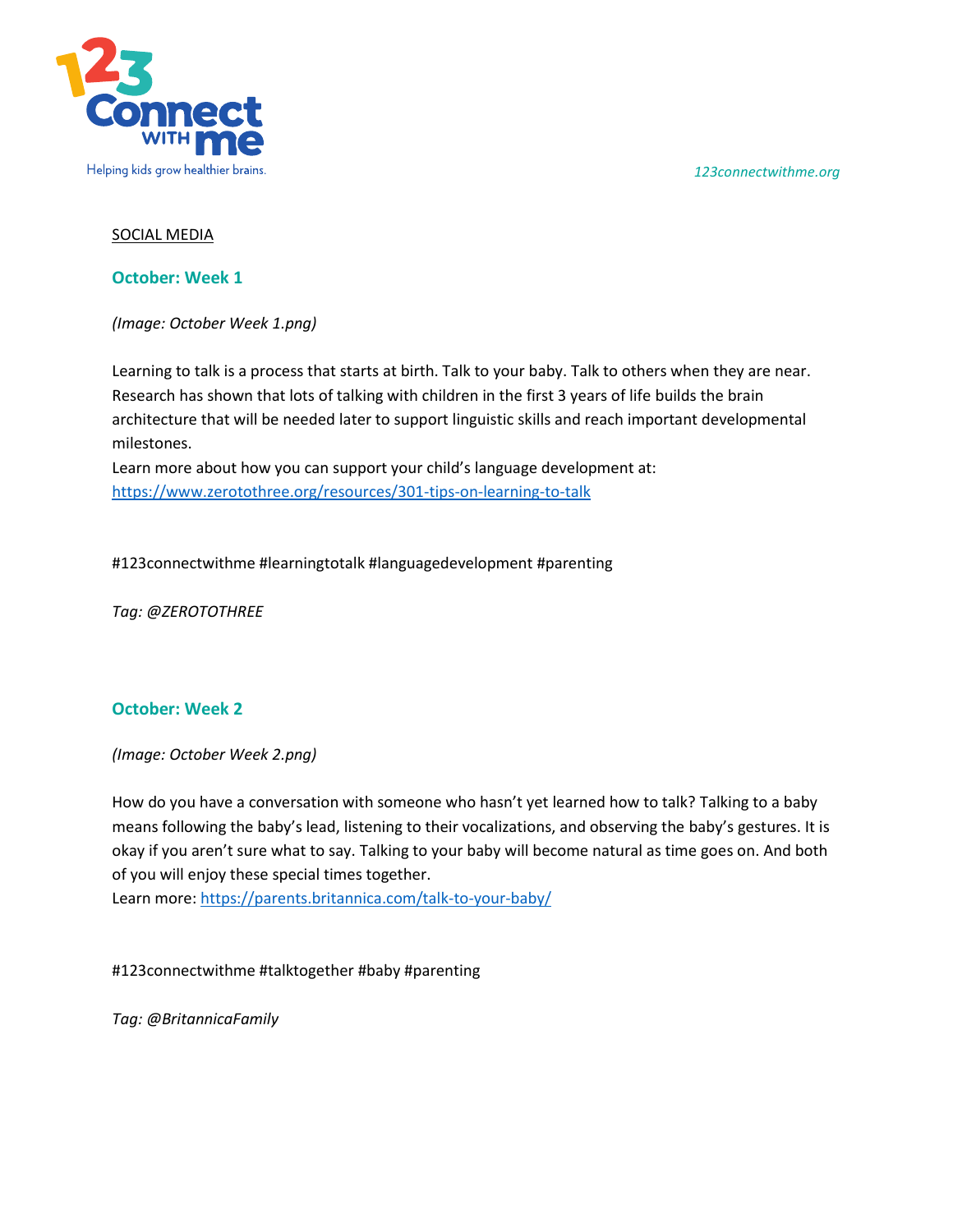*123connectwithme.org*



## SOCIAL MEDIA

**October: Week 1**

*(Image: October Week 1.png)* 

Learning to talk is a process that starts at birth. Talk to your baby. Talk to others when they are near. Research has shown that lots of talking with children in the first 3 years of life builds the brain architecture that will be needed later to support linguistic skills and reach important developmental milestones.

Learn more about how you can support your child's language development at: <https://www.zerotothree.org/resources/301-tips-on-learning-to-talk>

#123connectwithme #learningtotalk #languagedevelopment #parenting

*Tag: @ZEROTOTHREE*

## **October: Week 2**

*(Image: October Week 2.png)* 

How do you have a conversation with someone who hasn't yet learned how to talk? Talking to a baby means following the baby's lead, listening to their vocalizations, and observing the baby's gestures. It is okay if you aren't sure what to say. Talking to your baby will become natural as time goes on. And both of you will enjoy these special times together.

Learn more:<https://parents.britannica.com/talk-to-your-baby/>

#123connectwithme #talktogether #baby #parenting

*Tag: @BritannicaFamily*